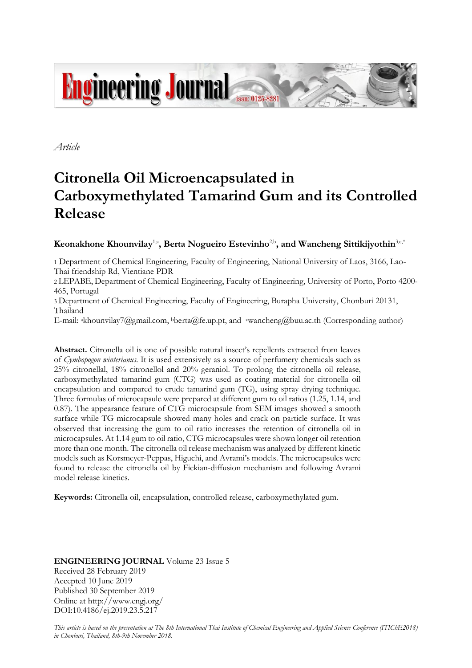

*Article*

# **Citronella Oil Microencapsulated in Carboxymethylated Tamarind Gum and its Controlled Release**

# $\bf K$ eonakhone  $\bf K$ hounvilay<sup>1,a</sup>, Berta Nogueiro Estevinho<sup>2,b</sup>, and  $\bf W$ ancheng Sittikijyothin<sup>3,c,\*</sup>

1 Department of Chemical Engineering, Faculty of Engineering, National University of Laos, 3166, Lao-Thai friendship Rd, Vientiane PDR

2 LEPABE, Department of Chemical Engineering, Faculty of Engineering, University of Porto, Porto 4200- 465, Portugal

3 Department of Chemical Engineering, Faculty of Engineering, Burapha University, Chonburi 20131, Thailand

E-mail: akhounvilay7@gmail.com, <sup>b</sup>berta@fe.up.pt, and cwancheng@buu.ac.th (Corresponding author)

**Abstract.** Citronella oil is one of possible natural insect's repellents extracted from leaves of *Cymbopogon winterianus*. It is used extensively as a source of perfumery chemicals such as 25% citronellal, 18% citronellol and 20% geraniol. To prolong the citronella oil release, carboxymethylated tamarind gum (CTG) was used as coating material for citronella oil encapsulation and compared to crude tamarind gum (TG), using spray drying technique. Three formulas of microcapsule were prepared at different gum to oil ratios (1.25, 1.14, and 0.87). The appearance feature of CTG microcapsule from SEM images showed a smooth surface while TG microcapsule showed many holes and crack on particle surface. It was observed that increasing the gum to oil ratio increases the retention of citronella oil in microcapsules. At 1.14 gum to oil ratio, CTG microcapsules were shown longer oil retention more than one month. The citronella oil release mechanism was analyzed by different kinetic models such as Korsmeyer-Peppas, Higuchi, and Avrami's models. The microcapsules were found to release the citronella oil by Fickian-diffusion mechanism and following Avrami model release kinetics.

**Keywords:** Citronella oil, encapsulation, controlled release, carboxymethylated gum.

## **ENGINEERING JOURNAL** Volume 23 Issue 5 Received 28 February 2019 Accepted 10 June 2019 Published 30 September 2019 Online at http://www.engj.org/ DOI:10.4186/ej.2019.23.5.217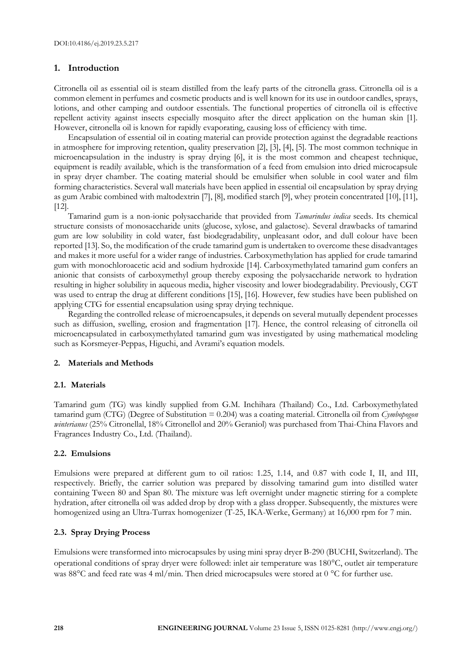## **1. Introduction**

Citronella oil as essential oil is steam distilled from the leafy parts of the citronella grass. Citronella oil is a common element in perfumes and cosmetic products and is well known for its use in outdoor candles, sprays, lotions, and other camping and outdoor essentials. The functional properties of citronella oil is effective repellent activity against insects especially mosquito after the direct application on the human skin [1]. However, citronella oil is known for rapidly evaporating, causing loss of efficiency with time.

Encapsulation of essential oil in coating material can provide protection against the degradable reactions in atmosphere for improving retention, quality preservation [2], [3], [4], [5]. The most common technique in microencapsulation in the industry is spray drying [6], it is the most common and cheapest technique, equipment is readily available, which is the transformation of a feed from emulsion into dried microcapsule in spray dryer chamber. The coating material should be emulsifier when soluble in cool water and film forming characteristics. Several wall materials have been applied in essential oil encapsulation by spray drying as gum Arabic combined with maltodextrin [7], [8], modified starch [9], whey protein concentrated [10], [11], [12].

Tamarind gum is a non-ionic polysaccharide that provided from *Tamarindus indica* seeds. Its chemical structure consists of monosaccharide units (glucose, xylose, and galactose). Several drawbacks of tamarind gum are low solubility in cold water, fast biodegradability, unpleasant odor, and dull colour have been reported [13]. So, the modification of the crude tamarind gum is undertaken to overcome these disadvantages and makes it more useful for a wider range of industries. Carboxymethylation has applied for crude tamarind gum with monochloroacetic acid and sodium hydroxide [14]. Carboxymethylated tamarind gum confers an anionic that consists of carboxymethyl group thereby exposing the polysaccharide network to hydration resulting in higher solubility in aqueous media, higher viscosity and lower biodegradability. Previously, CGT was used to entrap the drug at different conditions [15], [16]. However, few studies have been published on applying CTG for essential encapsulation using spray drying technique.

Regarding the controlled release of microencapsules, it depends on several mutually dependent processes such as diffusion, swelling, erosion and fragmentation [17]. Hence, the control releasing of citronella oil microencapsulated in carboxymethylated tamarind gum was investigated by using mathematical modeling such as Korsmeyer-Peppas, Higuchi, and Avrami's equation models.

#### **2. Materials and Methods**

#### **2.1. Materials**

Tamarind gum (TG) was kindly supplied from G.M. Inchihara (Thailand) Co., Ltd. Carboxymethylated tamarind gum (CTG) (Degree of Substitution = 0.204) was a coating material. Citronella oil from *Cymbopogon winterianus* (25% Citronellal, 18% Citronellol and 20% Geraniol) was purchased from Thai-China Flavors and Fragrances Industry Co., Ltd. (Thailand).

#### **2.2. Emulsions**

Emulsions were prepared at different gum to oil ratios: 1.25, 1.14, and 0.87 with code I, II, and III, respectively. Briefly, the carrier solution was prepared by dissolving tamarind gum into distilled water containing Tween 80 and Span 80. The mixture was left overnight under magnetic stirring for a complete hydration, after citronella oil was added drop by drop with a glass dropper. Subsequently, the mixtures were homogenized using an Ultra-Turrax homogenizer (T-25, IKA-Werke, Germany) at 16,000 rpm for 7 min.

#### **2.3. Spray Drying Process**

Emulsions were transformed into microcapsules by using mini spray dryer B-290 (BUCHI, Switzerland). The operational conditions of spray dryer were followed: inlet air temperature was 180°C, outlet air temperature was  $88^{\circ}$ C and feed rate was 4 ml/min. Then dried microcapsules were stored at 0  $^{\circ}$ C for further use.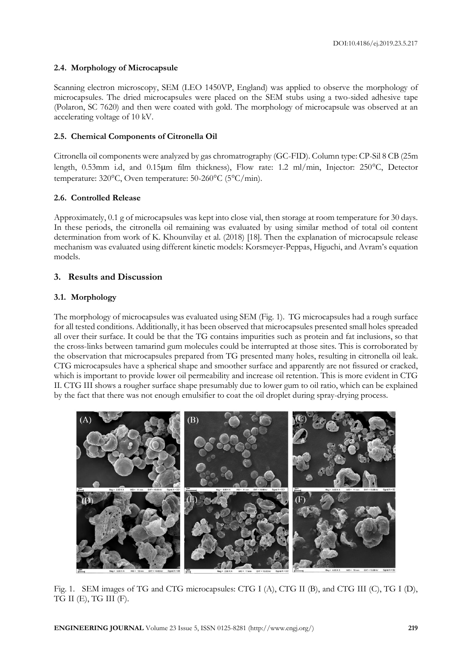## **2.4. Morphology of Microcapsule**

Scanning electron microscopy, SEM (LEO 1450VP, England) was applied to observe the morphology of microcapsules. The dried microcapsules were placed on the SEM stubs using a two-sided adhesive tape (Polaron, SC 7620) and then were coated with gold. The morphology of microcapsule was observed at an accelerating voltage of 10 kV.

# **2.5. Chemical Components of Citronella Oil**

Citronella oil components were analyzed by gas chromatrography (GC-FID). Column type: CP-Sil 8 CB (25m length, 0.53mm i.d, and 0.15µm film thickness), Flow rate: 1.2 ml/min, Injector: 250°C, Detector temperature:  $320^{\circ}$ C, Oven temperature:  $50\text{-}260^{\circ}$ C ( $5^{\circ}$ C/min).

# **2.6. Controlled Release**

Approximately, 0.1 g of microcapsules was kept into close vial, then storage at room temperature for 30 days. In these periods, the citronella oil remaining was evaluated by using similar method of total oil content determination from work of K. Khounvilay et al. (2018) [18]. Then the explanation of microcapsule release mechanism was evaluated using different kinetic models: Korsmeyer-Peppas, Higuchi, and Avram's equation models.

# **3. Results and Discussion**

# **3.1. Morphology**

The morphology of microcapsules was evaluated using SEM (Fig. 1). TG microcapsules had a rough surface for all tested conditions. Additionally, it has been observed that microcapsules presented small holes spreaded all over their surface. It could be that the TG contains impurities such as protein and fat inclusions, so that the cross-links between tamarind gum molecules could be interrupted at those sites. This is corroborated by the observation that microcapsules prepared from TG presented many holes, resulting in citronella oil leak. CTG microcapsules have a spherical shape and smoother surface and apparently are not fissured or cracked, which is important to provide lower oil permeability and increase oil retention. This is more evident in CTG II. CTG III shows a rougher surface shape presumably due to lower gum to oil ratio, which can be explained by the fact that there was not enough emulsifier to coat the oil droplet during spray-drying process.



Fig. 1. SEM images of TG and CTG microcapsules: CTG I (A), CTG II (B), and CTG III (C), TG I (D), TG II (E), TG III (F).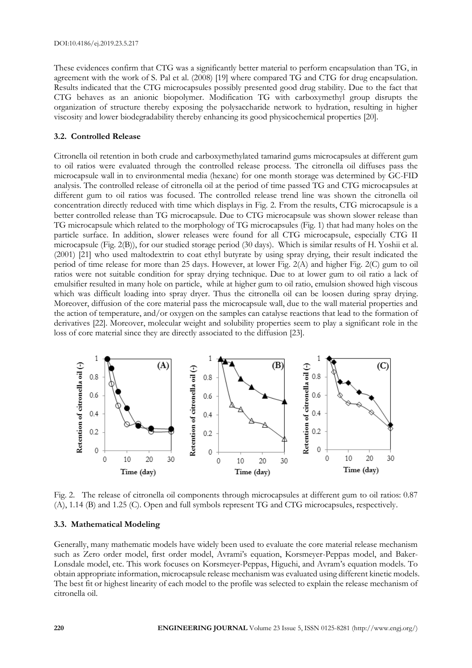These evidences confirm that CTG was a significantly better material to perform encapsulation than TG, in agreement with the work of S. Pal et al. (2008) [19] where compared TG and CTG for drug encapsulation. Results indicated that the CTG microcapsules possibly presented good drug stability. Due to the fact that CTG behaves as an anionic biopolymer. Modification TG with carboxymethyl group disrupts the organization of structure thereby exposing the polysaccharide network to hydration, resulting in higher viscosity and lower biodegradability thereby enhancing its good physicochemical properties [20].

#### **3.2. Controlled Release**

Citronella oil retention in both crude and carboxymethylated tamarind gums microcapsules at different gum to oil ratios were evaluated through the controlled release process. The citronella oil diffuses pass the microcapsule wall in to environmental media (hexane) for one month storage was determined by GC-FID analysis. The controlled release of citronella oil at the period of time passed TG and CTG microcapsules at different gum to oil ratios was focused. The controlled release trend line was shown the citronella oil concentration directly reduced with time which displays in Fig. 2. From the results, CTG microcapsule is a better controlled release than TG microcapsule. Due to CTG microcapsule was shown slower release than TG microcapsule which related to the morphology of TG microcapsules (Fig. 1) that had many holes on the particle surface. In addition, slower releases were found for all CTG microcapsule, especially CTG II microcapsule (Fig. 2(B)), for our studied storage period (30 days). Which is similar results of H. Yoshii et al. (2001) [21] who used maltodextrin to coat ethyl butyrate by using spray drying, their result indicated the period of time release for more than 25 days. However, at lower Fig. 2(A) and higher Fig. 2(C) gum to oil ratios were not suitable condition for spray drying technique. Due to at lower gum to oil ratio a lack of emulsifier resulted in many hole on particle, while at higher gum to oil ratio, emulsion showed high viscous which was difficult loading into spray dryer. Thus the citronella oil can be loosen during spray drying. Moreover, diffusion of the core material pass the microcapsule wall, due to the wall material properties and the action of temperature, and/or oxygen on the samples can catalyse reactions that lead to the formation of derivatives [22]. Moreover, molecular weight and solubility properties seem to play a significant role in the loss of core material since they are directly associated to the diffusion [23].



Fig. 2. The release of citronella oil components through microcapsules at different gum to oil ratios: 0.87 (A), 1.14 (B) and 1.25 (C). Open and full symbols represent TG and CTG microcapsules, respectively.

## **3.3. Mathematical Modeling**

Generally, many mathematic models have widely been used to evaluate the core material release mechanism such as Zero order model, first order model, Avrami's equation, Korsmeyer-Peppas model, and Baker-Lonsdale model, etc. This work focuses on Korsmeyer-Peppas, Higuchi, and Avram's equation models. To obtain appropriate information, microcapsule release mechanism was evaluated using different kinetic models. The best fit or highest linearity of each model to the profile was selected to explain the release mechanism of citronella oil.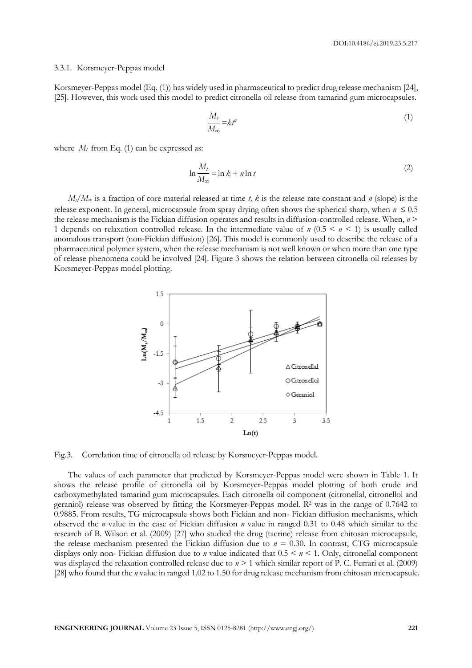#### 3.3.1. Korsmeyer-Peppas model

Korsmeyer-Peppas model (Eq. (1)) has widely used in pharmaceutical to predict drug release mechanism [24], [25]. However, this work used this model to predict citronella oil release from tamarind gum microcapsules.

$$
\frac{M_t}{M_\infty} = k t^n \tag{1}
$$

where  $M_t$  from Eq. (1) can be expressed as:

$$
\ln \frac{M_t}{M_\infty} = \ln k + n \ln t \tag{2}
$$

 $M_t/M_\infty$  is a fraction of core material released at time *t, k* is the release rate constant and *n* (slope) is the release exponent. In general, microcapsule from spray drying often shows the spherical sharp, when  $n \leq 0.5$ the release mechanism is the Fickian diffusion operates and results in diffusion-controlled release. When, *n* > 1 depends on relaxation controlled release. In the intermediate value of  $n(0.5 \le n \le 1)$  is usually called anomalous transport (non-Fickian diffusion) [26]. This model is commonly used to describe the release of a pharmaceutical polymer system, when the release mechanism is not well known or when more than one type of release phenomena could be involved [24]. Figure 3 shows the relation between citronella oil releases by Korsmeyer-Peppas model plotting.



Fig.3. Correlation time of citronella oil release by Korsmeyer-Peppas model.

The values of each parameter that predicted by Korsmeyer-Peppas model were shown in Table 1. It shows the release profile of citronella oil by Korsmeyer-Peppas model plotting of both crude and carboxymethylated tamarind gum microcapsules. Each citronella oil component (citronellal, citronellol and geraniol) release was observed by fitting the Korsmeyer-Peppas model. R<sup>2</sup> was in the range of 0.7642 to 0.9885. From results, TG microcapsule shows both Fickian and non- Fickian diffusion mechanisms, which observed the *n* value in the case of Fickian diffusion *n* value in ranged 0.31 to 0.48 which similar to the research of B. Wilson et al. (2009) [27] who studied the drug (tacrine) release from chitosan microcapsule, the release mechanism presented the Fickian diffusion due to  $n = 0.30$ . In contrast, CTG microcapsule displays only non- Fickian diffusion due to *n* value indicated that 0.5 < *n* < 1. Only, citronellal component was displayed the relaxation controlled release due to  $n > 1$  which similar report of P. C. Ferrari et al. (2009) [28] who found that the *n* value in ranged 1.02 to 1.50 for drug release mechanism from chitosan microcapsule.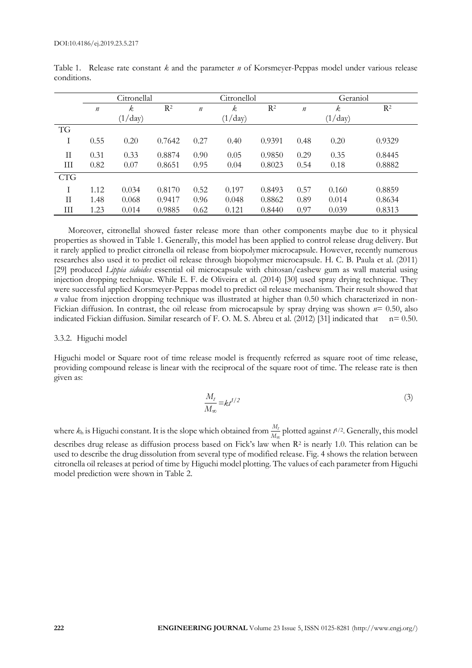|              | Citronellal      |         |                |                  | Citronellol |                | Geraniol         |                  |        |  |
|--------------|------------------|---------|----------------|------------------|-------------|----------------|------------------|------------------|--------|--|
|              | $\boldsymbol{n}$ | k       | R <sup>2</sup> | $\boldsymbol{n}$ | k,          | R <sup>2</sup> | $\boldsymbol{n}$ | $\boldsymbol{k}$ | $R^2$  |  |
|              |                  | (1/day) |                |                  | (1/day)     |                |                  | $(1/\text{day})$ |        |  |
| <b>TG</b>    |                  |         |                |                  |             |                |                  |                  |        |  |
| T            | 0.55             | 0.20    | 0.7642         | 0.27             | 0.40        | 0.9391         | 0.48             | 0.20             | 0.9329 |  |
| $\mathbf{I}$ | 0.31             | 0.33    | 0.8874         | 0.90             | 0.05        | 0.9850         | 0.29             | 0.35             | 0.8445 |  |
| Ш            | 0.82             | 0.07    | 0.8651         | 0.95             | 0.04        | 0.8023         | 0.54             | 0.18             | 0.8882 |  |
| <b>CTG</b>   |                  |         |                |                  |             |                |                  |                  |        |  |
|              | 1.12             | 0.034   | 0.8170         | 0.52             | 0.197       | 0.8493         | 0.57             | 0.160            | 0.8859 |  |
| $\mathbf{H}$ | 1.48             | 0.068   | 0.9417         | 0.96             | 0.048       | 0.8862         | 0.89             | 0.014            | 0.8634 |  |
| Ш            | 1.23             | 0.014   | 0.9885         | 0.62             | 0.121       | 0.8440         | 0.97             | 0.039            | 0.8313 |  |

Table 1. Release rate constant *k* and the parameter *n* of Korsmeyer-Peppas model under various release conditions.

Moreover, citronellal showed faster release more than other components maybe due to it physical properties as showed in Table 1. Generally, this model has been applied to control release drug delivery. But it rarely applied to predict citronella oil release from biopolymer microcapsule. However, recently numerous researches also used it to predict oil release through biopolymer microcapsule. H. C. B. Paula et al. (2011) [29] produced *Lippia sidoides* essential oil microcapsule with chitosan/cashew gum as wall material using injection dropping technique. While E. F. de Oliveira et al. (2014) [30] used spray drying technique. They were successful applied Korsmeyer-Peppas model to predict oil release mechanism. Their result showed that *n* value from injection dropping technique was illustrated at higher than 0.50 which characterized in non-Fickian diffusion. In contrast, the oil release from microcapsule by spray drying was shown *n*= 0.50, also indicated Fickian diffusion. Similar research of F. O. M. S. Abreu et al. (2012) [31] indicated that n= 0.50.

#### 3.3.2. Higuchi model

Higuchi model or Square root of time release model is frequently referred as square root of time release, providing compound release is linear with the reciprocal of the square root of time. The release rate is then given as:

$$
\frac{M_t}{M_\infty} = kt^{1/2} \tag{3}
$$

where  $k_h$  is Higuchi constant. It is the slope which obtained from  $\frac{M_t}{M_\infty}$  plotted against  $t^{1/2}$ . Generally, this model describes drug release as diffusion process based on Fick's law when R<sup>2</sup> is nearly 1.0. This relation can be used to describe the drug dissolution from several type of modified release. Fig. 4 shows the relation between citronella oil releases at period of time by Higuchi model plotting. The values of each parameter from Higuchi model prediction were shown in Table 2.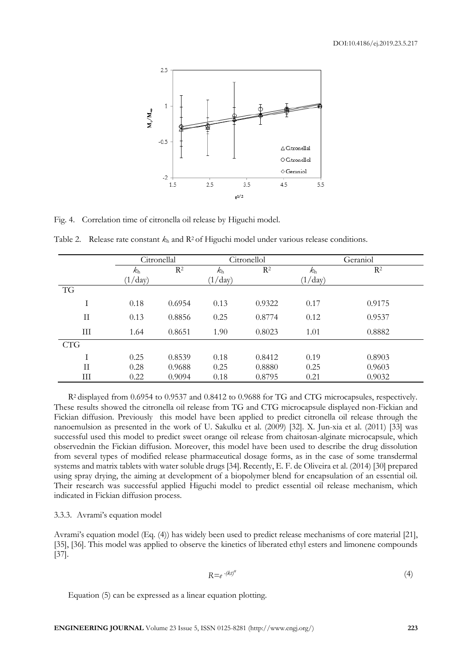

Fig. 4. Correlation time of citronella oil release by Higuchi model.

|                     | Citronellal |        |                  | Citronellol | Geraniol    |        |  |
|---------------------|-------------|--------|------------------|-------------|-------------|--------|--|
|                     | $k_{\rm h}$ | $R^2$  | $k_{\rm h}$      | $R^2$       | $k_{\rm h}$ | $R^2$  |  |
|                     | (1 / day)   |        | $(1/\text{day})$ |             | (1 / day)   |        |  |
| TG                  |             |        |                  |             |             |        |  |
| Ι                   | 0.18        | 0.6954 | 0.13             | 0.9322      | 0.17        | 0.9175 |  |
| $_{\rm II}$         | 0.13        | 0.8856 | 0.25             | 0.8774      | 0.12        | 0.9537 |  |
| Ш                   | 1.64        | 0.8651 | 1.90             | 0.8023      | 1.01        | 0.8882 |  |
| <b>CTG</b>          |             |        |                  |             |             |        |  |
| T                   | 0.25        | 0.8539 | 0.18             | 0.8412      | 0.19        | 0.8903 |  |
| $\overline{\rm II}$ | 0.28        | 0.9688 | 0.25             | 0.8880      | 0.25        | 0.9603 |  |
| Ш                   | 0.22        | 0.9094 | 0.18             | 0.8795      | 0.21        | 0.9032 |  |

Table 2. Release rate constant  $k_h$  and  $R^2$  of Higuchi model under various release conditions.

R2 displayed from 0.6954 to 0.9537 and 0.8412 to 0.9688 for TG and CTG microcapsules, respectively. These results showed the citronella oil release from TG and CTG microcapsule displayed non-Fickian and Fickian diffusion. Previously this model have been applied to predict citronella oil release through the nanoemulsion as presented in the work of U. Sakulku et al. (2009) [32]. X. Jun-xia et al. (2011) [33] was successful used this model to predict sweet orange oil release from chaitosan-alginate microcapsule, which observednin the Fickian diffusion. Moreover, this model have been used to describe the drug dissolution from several types of modified release pharmaceutical dosage forms, as in the case of some transdermal systems and matrix tablets with water soluble drugs [34]. Recently, E. F. de Oliveira et al. (2014) [30] prepared using spray drying, the aiming at development of a biopolymer blend for encapsulation of an essential oil. Their research was successful applied Higuchi model to predict essential oil release mechanism, which indicated in Fickian diffusion process.

#### 3.3.3. Avrami's equation model

Avrami's equation model (Eq. (4)) has widely been used to predict release mechanisms of core material [21], [35], [36]. This model was applied to observe the kinetics of liberated ethyl esters and limonene compounds [37].

$$
R = e^{-(kt)^n} \tag{4}
$$

Equation (5) can be expressed as a linear equation plotting.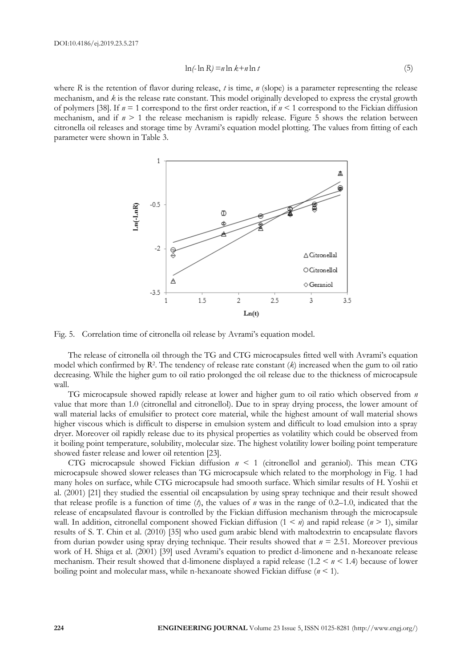$$
\ln(-\ln R) = n \ln k + n \ln t \tag{5}
$$

where *R* is the retention of flavor during release, *t* is time, *n* (slope) is a parameter representing the release mechanism, and *k* is the release rate constant. This model originally developed to express the crystal growth of polymers [38]. If *n* = 1 correspond to the first order reaction, if *n* < 1 correspond to the Fickian diffusion mechanism, and if  $n \geq 1$  the release mechanism is rapidly release. Figure 5 shows the relation between citronella oil releases and storage time by Avrami's equation model plotting. The values from fitting of each parameter were shown in Table 3.



Fig. 5. Correlation time of citronella oil release by Avrami's equation model.

The release of citronella oil through the TG and CTG microcapsules fitted well with Avrami's equation model which confirmed by R<sup>2</sup> . The tendency of release rate constant (*k*) increased when the gum to oil ratio decreasing. While the higher gum to oil ratio prolonged the oil release due to the thickness of microcapsule wall.

TG microcapsule showed rapidly release at lower and higher gum to oil ratio which observed from *n* value that more than 1.0 (citronellal and citronellol). Due to in spray drying process, the lower amount of wall material lacks of emulsifier to protect core material, while the highest amount of wall material shows higher viscous which is difficult to disperse in emulsion system and difficult to load emulsion into a spray dryer. Moreover oil rapidly release due to its physical properties as volatility which could be observed from it boiling point temperature, solubility, molecular size. The highest volatility lower boiling point temperature showed faster release and lower oil retention [23].

CTG microcapsule showed Fickian diffusion *n* < 1 (citronellol and geraniol). This mean CTG microcapsule showed slower releases than TG microcapsule which related to the morphology in Fig. 1 had many holes on surface, while CTG microcapsule had smooth surface. Which similar results of H. Yoshii et al. (2001) [21] they studied the essential oil encapsulation by using spray technique and their result showed that release profile is a function of time  $(\hat{t})$ , the values of *n* was in the range of 0.2–1.0, indicated that the release of encapsulated flavour is controlled by the Fickian diffusion mechanism through the microcapsule wall. In addition, citronellal component showed Fickian diffusion (1 < *n*) and rapid release (*n* > 1), similar results of S. T. Chin et al. (2010) [35] who used gum arabic blend with maltodextrin to encapsulate flavors from durian powder using spray drying technique. Their results showed that *n* = 2.51. Moreover previous work of H. Shiga et al. (2001) [39] used Avrami's equation to predict d-limonene and n-hexanoate release mechanism. Their result showed that d-limonene displayed a rapid release (1.2 < *n* < 1.4) because of lower boiling point and molecular mass, while n-hexanoate showed Fickian diffuse (*n* < 1).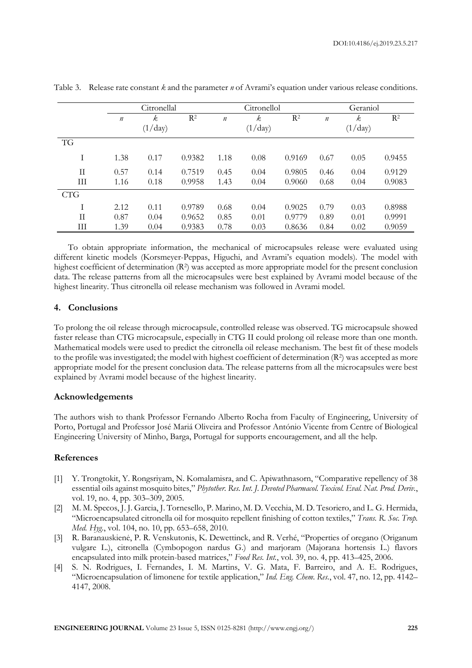|             |                  | Citronellal |        | Citronellol      |      |                | Geraniol         |      |        |  |
|-------------|------------------|-------------|--------|------------------|------|----------------|------------------|------|--------|--|
|             | $\boldsymbol{n}$ | k           | $R^2$  | $\boldsymbol{n}$ | k.   | R <sup>2</sup> | $\boldsymbol{n}$ | k.   | $R^2$  |  |
|             | (1/day)          |             |        | $(1/\text{day})$ |      |                | (1/day)          |      |        |  |
| <b>TG</b>   |                  |             |        |                  |      |                |                  |      |        |  |
| T           | 1.38             | 0.17        | 0.9382 | 1.18             | 0.08 | 0.9169         | 0.67             | 0.05 | 0.9455 |  |
| $_{\rm II}$ | 0.57             | 0.14        | 0.7519 | 0.45             | 0.04 | 0.9805         | 0.46             | 0.04 | 0.9129 |  |
| Ш           | 1.16             | 0.18        | 0.9958 | 1.43             | 0.04 | 0.9060         | 0.68             | 0.04 | 0.9083 |  |
| <b>CTG</b>  |                  |             |        |                  |      |                |                  |      |        |  |
| Ī           | 2.12             | 0.11        | 0.9789 | 0.68             | 0.04 | 0.9025         | 0.79             | 0.03 | 0.8988 |  |
| $_{\rm II}$ | 0.87             | 0.04        | 0.9652 | 0.85             | 0.01 | 0.9779         | 0.89             | 0.01 | 0.9991 |  |
| Ш           | 1.39             | 0.04        | 0.9383 | 0.78             | 0.03 | 0.8636         | 0.84             | 0.02 | 0.9059 |  |

Table 3. Release rate constant *k* and the parameter *n* of Avrami's equation under various release conditions.

To obtain appropriate information, the mechanical of microcapsules release were evaluated using different kinetic models (Korsmeyer-Peppas, Higuchi, and Avrami's equation models). The model with highest coefficient of determination (R<sup>2</sup>) was accepted as more appropriate model for the present conclusion data. The release patterns from all the microcapsules were best explained by Avrami model because of the highest linearity. Thus citronella oil release mechanism was followed in Avrami model.

# **4. Conclusions**

To prolong the oil release through microcapsule, controlled release was observed. TG microcapsule showed faster release than CTG microcapsule, especially in CTG II could prolong oil release more than one month. Mathematical models were used to predict the citronella oil release mechanism. The best fit of these models to the profile was investigated; the model with highest coefficient of determination  $(R^2)$  was accepted as more appropriate model for the present conclusion data. The release patterns from all the microcapsules were best explained by Avrami model because of the highest linearity.

#### **Acknowledgements**

The authors wish to thank Professor Fernando Alberto Rocha from Faculty of Engineering, University of Porto, Portugal and Professor José Mariá Oliveira and Professor António Vicente from Centre of Biological Engineering University of Minho, Barga, Portugal for supports encouragement, and all the help.

### **References**

- [1] Y. Trongtokit, Y. Rongsriyam, N. Komalamisra, and C. Apiwathnasorn, "Comparative repellency of 38 essential oils against mosquito bites," *Phytother. Res. Int. J. Devoted Pharmacol. Toxicol. Eval. Nat. Prod. Deriv.*, vol. 19, no. 4, pp. 303–309, 2005.
- [2] M. M. Specos, J. J. Garcia, J. Tornesello, P. Marino, M. D. Vecchia, M. D. Tesoriero, and L. G. Hermida, "Microencapsulated citronella oil for mosquito repellent finishing of cotton textiles," *Trans. R. Soc. Trop. Med. Hyg.*, vol. 104, no. 10, pp. 653–658, 2010.
- [3] R. Baranauskienė, P. R. Venskutonis, K. Dewettinck, and R. Verhé, "Properties of oregano (Origanum vulgare L.), citronella (Cymbopogon nardus G.) and marjoram (Majorana hortensis L.) flavors encapsulated into milk protein-based matrices," *Food Res. Int.*, vol. 39, no. 4, pp. 413–425, 2006.
- [4] S. N. Rodrigues, I. Fernandes, I. M. Martins, V. G. Mata, F. Barreiro, and A. E. Rodrigues, "Microencapsulation of limonene for textile application," *Ind. Eng. Chem. Res.*, vol. 47, no. 12, pp. 4142– 4147, 2008.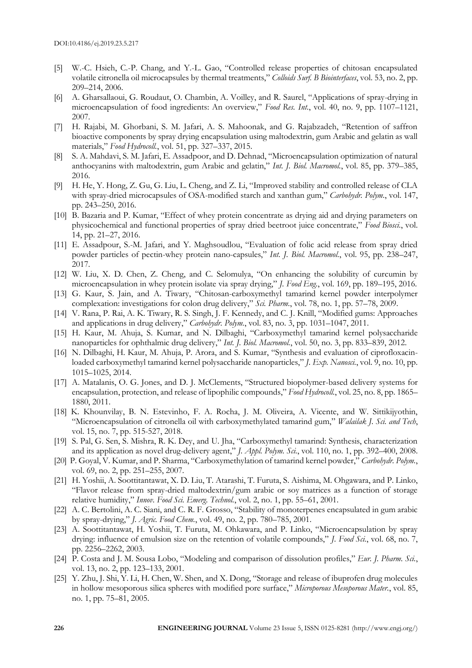- [5] W.-C. Hsieh, C.-P. Chang, and Y.-L. Gao, "Controlled release properties of chitosan encapsulated volatile citronella oil microcapsules by thermal treatments," *Colloids Surf. B Biointerfaces*, vol. 53, no. 2, pp. 209–214, 2006.
- [6] A. Gharsallaoui, G. Roudaut, O. Chambin, A. Voilley, and R. Saurel, "Applications of spray-drying in microencapsulation of food ingredients: An overview," *Food Res. Int.*, vol. 40, no. 9, pp. 1107–1121, 2007.
- [7] H. Rajabi, M. Ghorbani, S. M. Jafari, A. S. Mahoonak, and G. Rajabzadeh, "Retention of saffron bioactive components by spray drying encapsulation using maltodextrin, gum Arabic and gelatin as wall materials," *Food Hydrocoll.*, vol. 51, pp. 327–337, 2015.
- [8] S. A. Mahdavi, S. M. Jafari, E. Assadpoor, and D. Dehnad, "Microencapsulation optimization of natural anthocyanins with maltodextrin, gum Arabic and gelatin," *Int. J. Biol. Macromol.*, vol. 85, pp. 379–385, 2016.
- [9] H. He, Y. Hong, Z. Gu, G. Liu, L. Cheng, and Z. Li, "Improved stability and controlled release of CLA with spray-dried microcapsules of OSA-modified starch and xanthan gum," *Carbohydr. Polym.*, vol. 147, pp. 243–250, 2016.
- [10] B. Bazaria and P. Kumar, "Effect of whey protein concentrate as drying aid and drying parameters on physicochemical and functional properties of spray dried beetroot juice concentrate," *Food Biosci.*, vol. 14, pp. 21–27, 2016.
- [11] E. Assadpour, S.-M. Jafari, and Y. Maghsoudlou, "Evaluation of folic acid release from spray dried powder particles of pectin-whey protein nano-capsules," *Int. J. Biol. Macromol.*, vol. 95, pp. 238–247, 2017.
- [12] W. Liu, X. D. Chen, Z. Cheng, and C. Selomulya, "On enhancing the solubility of curcumin by microencapsulation in whey protein isolate via spray drying," *J. Food Eng.*, vol. 169, pp. 189–195, 2016.
- [13] G. Kaur, S. Jain, and A. Tiwary, "Chitosan-carboxymethyl tamarind kernel powder interpolymer complexation: investigations for colon drug delivery," *Sci. Pharm.*, vol. 78, no. 1, pp. 57–78, 2009.
- [14] V. Rana, P. Rai, A. K. Tiwary, R. S. Singh, J. F. Kennedy, and C. J. Knill, "Modified gums: Approaches and applications in drug delivery," *Carbohydr. Polym.*, vol. 83, no. 3, pp. 1031–1047, 2011.
- [15] H. Kaur, M. Ahuja, S. Kumar, and N. Dilbaghi, "Carboxymethyl tamarind kernel polysaccharide nanoparticles for ophthalmic drug delivery," *Int. J. Biol. Macromol.*, vol. 50, no. 3, pp. 833–839, 2012.
- [16] N. Dilbaghi, H. Kaur, M. Ahuja, P. Arora, and S. Kumar, "Synthesis and evaluation of ciprofloxacinloaded carboxymethyl tamarind kernel polysaccharide nanoparticles," *J. Exp. Nanosci.*, vol. 9, no. 10, pp. 1015–1025, 2014.
- [17] A. Matalanis, O. G. Jones, and D. J. McClements, "Structured biopolymer-based delivery systems for encapsulation, protection, and release of lipophilic compounds," *Food Hydrocoll.*, vol. 25, no. 8, pp. 1865– 1880, 2011.
- [18] K. Khounvilay, B. N. Estevinho, F. A. Rocha, J. M. Oliveira, A. Vicente, and W. Sittikijyothin, "Microencapsulation of citronella oil with carboxymethylated tamarind gum," *Walailak J. Sci. and Tech*, vol. 15, no. 7, pp. 515-527, 2018.
- [19] S. Pal, G. Sen, S. Mishra, R. K. Dey, and U. Jha, "Carboxymethyl tamarind: Synthesis, characterization and its application as novel drug-delivery agent," *J. Appl. Polym. Sci.*, vol. 110, no. 1, pp. 392–400, 2008.
- [20] P. Goyal, V. Kumar, and P. Sharma, "Carboxymethylation of tamarind kernel powder," *Carbohydr. Polym.*, vol. 69, no. 2, pp. 251–255, 2007.
- [21] H. Yoshii, A. Soottitantawat, X. D. Liu, T. Atarashi, T. Furuta, S. Aishima, M. Ohgawara, and P. Linko, "Flavor release from spray-dried maltodextrin/gum arabic or soy matrices as a function of storage relative humidity," *Innov. Food Sci. Emerg. Technol.*, vol. 2, no. 1, pp. 55–61, 2001.
- [22] A. C. Bertolini, A. C. Siani, and C. R. F. Grosso, "Stability of monoterpenes encapsulated in gum arabic by spray-drying," *J. Agric. Food Chem.*, vol. 49, no. 2, pp. 780–785, 2001.
- [23] A. Soottitantawat, H. Yoshii, T. Furuta, M. Ohkawara, and P. Linko, "Microencapsulation by spray drying: influence of emulsion size on the retention of volatile compounds," *J. Food Sci.*, vol. 68, no. 7, pp. 2256–2262, 2003.
- [24] P. Costa and J. M. Sousa Lobo, "Modeling and comparison of dissolution profiles," *Eur. J. Pharm. Sci.*, vol. 13, no. 2, pp. 123–133, 2001.
- [25] Y. Zhu, J. Shi, Y. Li, H. Chen, W. Shen, and X. Dong, "Storage and release of ibuprofen drug molecules in hollow mesoporous silica spheres with modified pore surface," *Microporous Mesoporous Mater.*, vol. 85, no. 1, pp. 75–81, 2005.